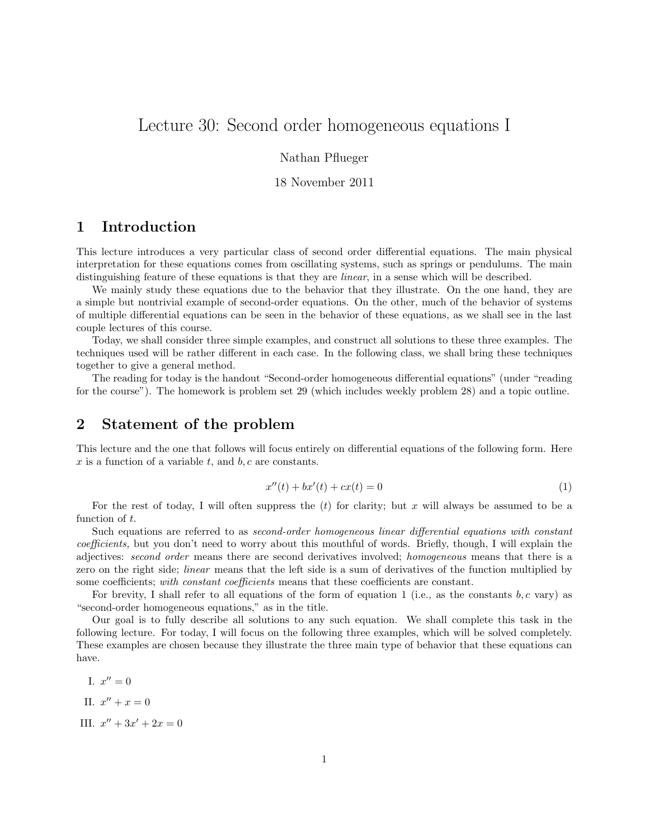# Lecture 30: Second order homogeneous equations I

Nathan Pflueger

18 November 2011

## 1 Introduction

This lecture introduces a very particular class of second order differential equations. The main physical interpretation for these equations comes from oscillating systems, such as springs or pendulums. The main distinguishing feature of these equations is that they are *linear*, in a sense which will be described.

We mainly study these equations due to the behavior that they illustrate. On the one hand, they are a simple but nontrivial example of second-order equations. On the other, much of the behavior of systems of multiple differential equations can be seen in the behavior of these equations, as we shall see in the last couple lectures of this course.

Today, we shall consider three simple examples, and construct all solutions to these three examples. The techniques used will be rather different in each case. In the following class, we shall bring these techniques together to give a general method.

The reading for today is the handout "Second-order homogeneous differential equations" (under "reading for the course"). The homework is problem set 29 (which includes weekly problem 28) and a topic outline.

### 2 Statement of the problem

This lecture and the one that follows will focus entirely on differential equations of the following form. Here x is a function of a variable t, and  $b, c$  are constants.

$$
x''(t) + bx'(t) + cx(t) = 0
$$
\n(1)

For the rest of today, I will often suppress the  $(t)$  for clarity; but x will always be assumed to be a function of t.

Such equations are referred to as second-order homogeneous linear differential equations with constant coefficients, but you don't need to worry about this mouthful of words. Briefly, though, I will explain the adjectives: second order means there are second derivatives involved; homogeneous means that there is a zero on the right side; linear means that the left side is a sum of derivatives of the function multiplied by some coefficients; with constant coefficients means that these coefficients are constant.

For brevity, I shall refer to all equations of the form of equation 1 (i.e., as the constants  $b, c$  vary) as "second-order homogeneous equations," as in the title.

Our goal is to fully describe all solutions to any such equation. We shall complete this task in the following lecture. For today, I will focus on the following three examples, which will be solved completely. These examples are chosen because they illustrate the three main type of behavior that these equations can have.

I.  $x'' = 0$ II.  $x'' + x = 0$ III.  $x'' + 3x' + 2x = 0$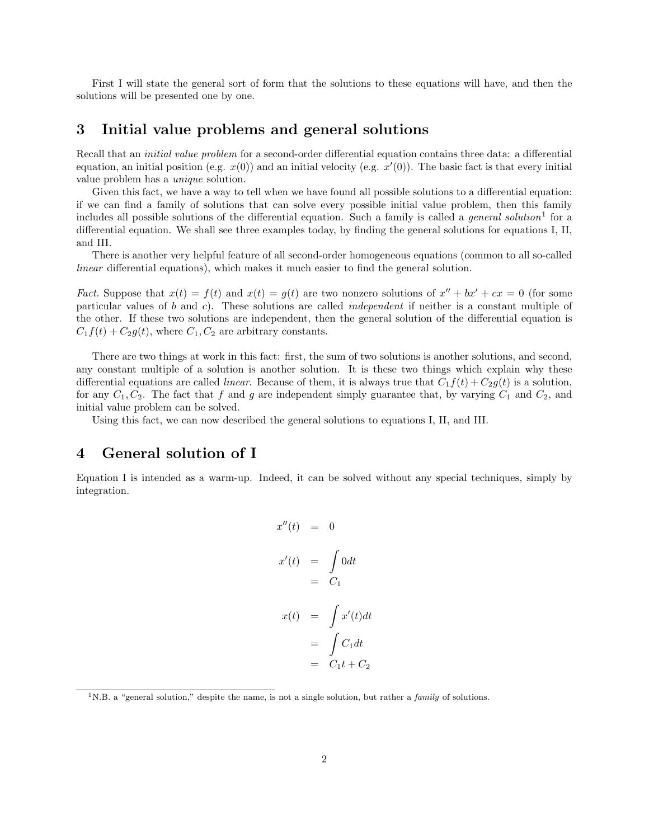First I will state the general sort of form that the solutions to these equations will have, and then the solutions will be presented one by one.

#### 3 Initial value problems and general solutions

Recall that an initial value problem for a second-order differential equation contains three data: a differential equation, an initial position (e.g.  $x(0)$ ) and an initial velocity (e.g.  $x'(0)$ ). The basic fact is that every initial value problem has a unique solution.

Given this fact, we have a way to tell when we have found all possible solutions to a differential equation: if we can find a family of solutions that can solve every possible initial value problem, then this family includes all possible solutions of the differential equation. Such a family is called a *general solution*<sup>1</sup> for a differential equation. We shall see three examples today, by finding the general solutions for equations I, II, and III.

There is another very helpful feature of all second-order homogeneous equations (common to all so-called linear differential equations), which makes it much easier to find the general solution.

Fact. Suppose that  $x(t) = f(t)$  and  $x(t) = g(t)$  are two nonzero solutions of  $x'' + bx' + cx = 0$  (for some particular values of b and c). These solutions are called *independent* if neither is a constant multiple of the other. If these two solutions are independent, then the general solution of the differential equation is  $C_1f(t) + C_2g(t)$ , where  $C_1, C_2$  are arbitrary constants.

There are two things at work in this fact: first, the sum of two solutions is another solutions, and second, any constant multiple of a solution is another solution. It is these two things which explain why these differential equations are called *linear*. Because of them, it is always true that  $C_1f(t) + C_2g(t)$  is a solution, for any  $C_1, C_2$ . The fact that f and g are independent simply guarantee that, by varying  $C_1$  and  $C_2$ , and initial value problem can be solved.

Using this fact, we can now described the general solutions to equations I, II, and III.

#### 4 General solution of I

Equation I is intended as a warm-up. Indeed, it can be solved without any special techniques, simply by integration.

$$
x''(t) = 0
$$
  
\n
$$
x'(t) = \int 0 dt
$$
  
\n
$$
= C_1
$$
  
\n
$$
x(t) = \int x'(t) dt
$$
  
\n
$$
= \int C_1 dt
$$
  
\n
$$
= C_1 t + C_2
$$

<sup>&</sup>lt;sup>1</sup>N.B. a "general solution," despite the name, is not a single solution, but rather a *family* of solutions.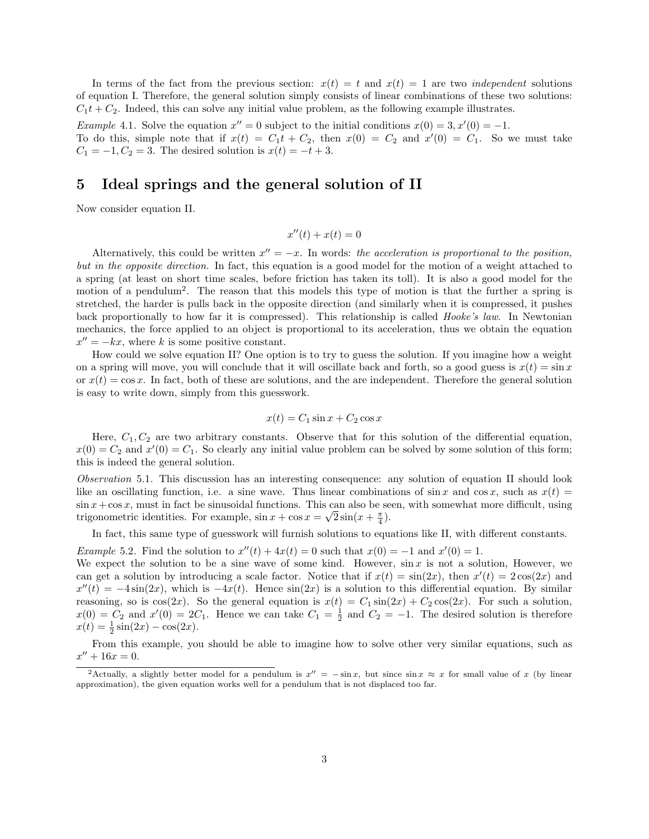In terms of the fact from the previous section:  $x(t) = t$  and  $x(t) = 1$  are two *independent* solutions of equation I. Therefore, the general solution simply consists of linear combinations of these two solutions:  $C_1t + C_2$ . Indeed, this can solve any initial value problem, as the following example illustrates.

*Example* 4.1. Solve the equation  $x'' = 0$  subject to the initial conditions  $x(0) = 3, x'(0) = -1$ . To do this, simple note that if  $x(t) = C_1 t + C_2$ , then  $x(0) = C_2$  and  $x'(0) = C_1$ . So we must take

 $C_1 = -1, C_2 = 3$ . The desired solution is  $x(t) = -t + 3$ .

#### 5 Ideal springs and the general solution of II

Now consider equation II.

$$
x''(t) + x(t) = 0
$$

Alternatively, this could be written  $x'' = -x$ . In words: the acceleration is proportional to the position, but in the opposite direction. In fact, this equation is a good model for the motion of a weight attached to a spring (at least on short time scales, before friction has taken its toll). It is also a good model for the motion of a pendulum<sup>2</sup>. The reason that this models this type of motion is that the further a spring is stretched, the harder is pulls back in the opposite direction (and similarly when it is compressed, it pushes back proportionally to how far it is compressed). This relationship is called Hooke's law. In Newtonian mechanics, the force applied to an object is proportional to its acceleration, thus we obtain the equation  $x'' = -kx$ , where k is some positive constant.

How could we solve equation II? One option is to try to guess the solution. If you imagine how a weight on a spring will move, you will conclude that it will oscillate back and forth, so a good guess is  $x(t) = \sin x$ or  $x(t) = \cos x$ . In fact, both of these are solutions, and the are independent. Therefore the general solution is easy to write down, simply from this guesswork.

$$
x(t) = C_1 \sin x + C_2 \cos x
$$

Here,  $C_1, C_2$  are two arbitrary constants. Observe that for this solution of the differential equation,  $x(0) = C_2$  and  $x'(0) = C_1$ . So clearly any initial value problem can be solved by some solution of this form; this is indeed the general solution.

Observation 5.1. This discussion has an interesting consequence: any solution of equation II should look like an oscillating function, i.e. a sine wave. Thus linear combinations of sin x and cos x, such as  $x(t)$  =  $\sin x + \cos x$ , must in fact be sinusoidal functions. This can also be seen, with somewhat more difficult, using trigonometric identities. For example,  $\sin x + \cos x = \sqrt{2}\sin(x + \frac{\pi}{4})$ .

In fact, this same type of guesswork will furnish solutions to equations like II, with different constants.

Example 5.2. Find the solution to  $x''(t) + 4x(t) = 0$  such that  $x(0) = -1$  and  $x'(0) = 1$ .

We expect the solution to be a sine wave of some kind. However,  $\sin x$  is not a solution, However, we can get a solution by introducing a scale factor. Notice that if  $x(t) = \sin(2x)$ , then  $x'(t) = 2\cos(2x)$  and  $x''(t) = -4\sin(2x)$ , which is  $-4x(t)$ . Hence  $\sin(2x)$  is a solution to this differential equation. By similar reasoning, so is  $cos(2x)$ . So the general equation is  $x(t) = C_1 sin(2x) + C_2 cos(2x)$ . For such a solution,  $x(0) = C_2$  and  $x'(0) = 2C_1$ . Hence we can take  $C_1 = \frac{1}{2}$  and  $C_2 = -1$ . The desired solution is therefore  $x(t) = \frac{1}{2}\sin(2x) - \cos(2x).$ 

From this example, you should be able to imagine how to solve other very similar equations, such as  $x'' + 16x = 0.$ 

<sup>&</sup>lt;sup>2</sup>Actually, a slightly better model for a pendulum is  $x'' = -\sin x$ , but since  $\sin x \approx x$  for small value of x (by linear approximation), the given equation works well for a pendulum that is not displaced too far.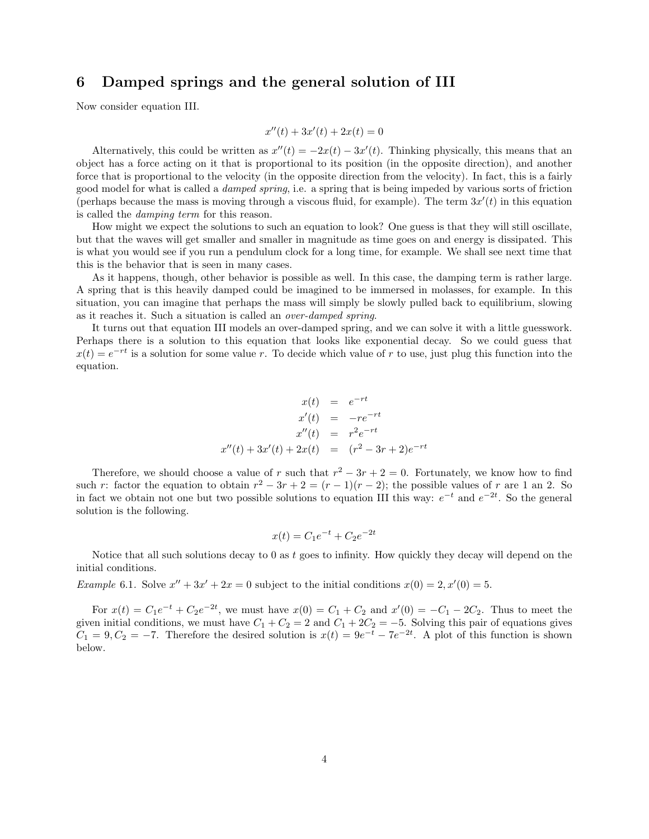#### 6 Damped springs and the general solution of III

Now consider equation III.

$$
x''(t) + 3x'(t) + 2x(t) = 0
$$

Alternatively, this could be written as  $x''(t) = -2x(t) - 3x'(t)$ . Thinking physically, this means that an object has a force acting on it that is proportional to its position (in the opposite direction), and another force that is proportional to the velocity (in the opposite direction from the velocity). In fact, this is a fairly good model for what is called a damped spring, i.e. a spring that is being impeded by various sorts of friction (perhaps because the mass is moving through a viscous fluid, for example). The term  $3x'(t)$  in this equation is called the damping term for this reason.

How might we expect the solutions to such an equation to look? One guess is that they will still oscillate, but that the waves will get smaller and smaller in magnitude as time goes on and energy is dissipated. This is what you would see if you run a pendulum clock for a long time, for example. We shall see next time that this is the behavior that is seen in many cases.

As it happens, though, other behavior is possible as well. In this case, the damping term is rather large. A spring that is this heavily damped could be imagined to be immersed in molasses, for example. In this situation, you can imagine that perhaps the mass will simply be slowly pulled back to equilibrium, slowing as it reaches it. Such a situation is called an over-damped spring.

It turns out that equation III models an over-damped spring, and we can solve it with a little guesswork. Perhaps there is a solution to this equation that looks like exponential decay. So we could guess that  $x(t) = e^{-rt}$  is a solution for some value r. To decide which value of r to use, just plug this function into the equation.

$$
x(t) = e^{-rt}
$$
  
\n
$$
x'(t) = -re^{-rt}
$$
  
\n
$$
x''(t) = r^2e^{-rt}
$$
  
\n
$$
x''(t) + 3x'(t) + 2x(t) = (r^2 - 3r + 2)e^{-rt}
$$

Therefore, we should choose a value of r such that  $r^2 - 3r + 2 = 0$ . Fortunately, we know how to find such r: factor the equation to obtain  $r^2 - 3r + 2 = (r - 1)(r - 2)$ ; the possible values of r are 1 an 2. So in fact we obtain not one but two possible solutions to equation III this way:  $e^{-t}$  and  $e^{-2t}$ . So the general solution is the following.

$$
x(t) = C_1 e^{-t} + C_2 e^{-2t}
$$

Notice that all such solutions decay to  $0$  as t goes to infinity. How quickly they decay will depend on the initial conditions.

*Example* 6.1. Solve  $x'' + 3x' + 2x = 0$  subject to the initial conditions  $x(0) = 2, x'(0) = 5$ .

For  $x(t) = C_1 e^{-t} + C_2 e^{-2t}$ , we must have  $x(0) = C_1 + C_2$  and  $x'(0) = -C_1 - 2C_2$ . Thus to meet the given initial conditions, we must have  $C_1 + C_2 = 2$  and  $C_1 + 2C_2 = -5$ . Solving this pair of equations gives  $C_1 = 9, C_2 = -7.$  Therefore the desired solution is  $x(t) = 9e^{-t} - 7e^{-2t}$ . A plot of this function is shown below.